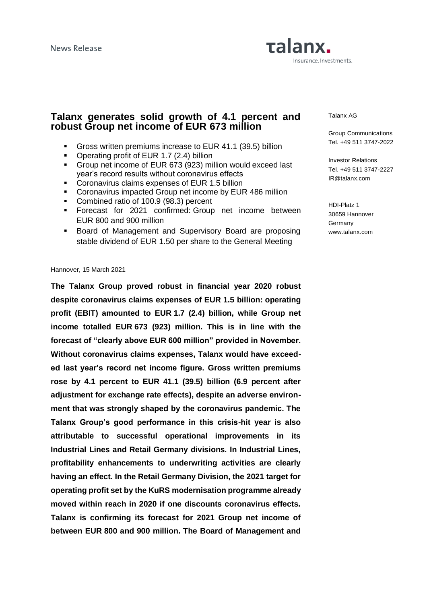# Talanx. Insurance. Investments.

## **Talanx generates solid growth of 4.1 percent and robust Group net income of EUR 673 million**

- Gross written premiums increase to EUR 41.1 (39.5) billion
- Operating profit of EUR 1.7 (2.4) billion
- Group net income of EUR 673 (923) million would exceed last year's record results without coronavirus effects
- **Coronavirus claims expenses of EUR 1.5 billion**
- Coronavirus impacted Group net income by EUR 486 million
- Combined ratio of 100.9 (98.3) percent
- Forecast for 2021 confirmed: Group net income between EUR 800 and 900 million
- Board of Management and Supervisory Board are proposing stable dividend of EUR 1.50 per share to the General Meeting

#### Talanx AG

Group Communications Tel. +49 511 3747-2022

Investor Relations Tel. +49 511 3747-2227 IR@talanx.com

HDI-Platz 1 30659 Hannover Germany www.talanx.com

#### Hannover, 15 March 2021

**The Talanx Group proved robust in financial year 2020 robust despite coronavirus claims expenses of EUR 1.5 billion: operating profit (EBIT) amounted to EUR 1.7 (2.4) billion, while Group net income totalled EUR 673 (923) million. This is in line with the forecast of "clearly above EUR 600 million" provided in November. Without coronavirus claims expenses, Talanx would have exceeded last year's record net income figure. Gross written premiums rose by 4.1 percent to EUR 41.1 (39.5) billion (6.9 percent after adjustment for exchange rate effects), despite an adverse environment that was strongly shaped by the coronavirus pandemic. The Talanx Group's good performance in this crisis-hit year is also attributable to successful operational improvements in its Industrial Lines and Retail Germany divisions. In Industrial Lines, profitability enhancements to underwriting activities are clearly having an effect. In the Retail Germany Division, the 2021 target for operating profit set by the KuRS modernisation programme already moved within reach in 2020 if one discounts coronavirus effects. Talanx is confirming its forecast for 2021 Group net income of between EUR 800 and 900 million. The Board of Management and**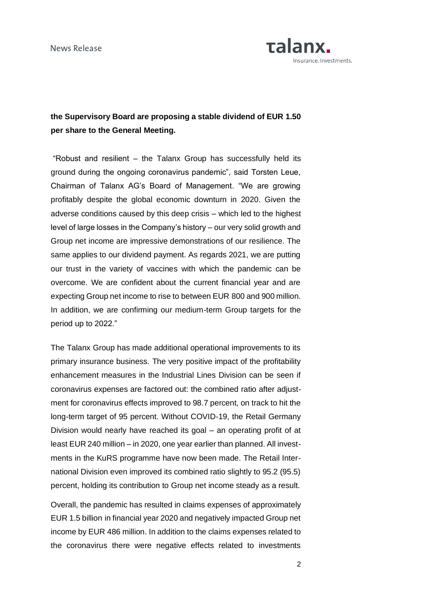

## **the Supervisory Board are proposing a stable dividend of EUR 1.50 per share to the General Meeting.**

"Robust and resilient – the Talanx Group has successfully held its ground during the ongoing coronavirus pandemic", said Torsten Leue, Chairman of Talanx AG's Board of Management. "We are growing profitably despite the global economic downturn in 2020. Given the adverse conditions caused by this deep crisis – which led to the highest level of large losses in the Company's history – our very solid growth and Group net income are impressive demonstrations of our resilience. The same applies to our dividend payment. As regards 2021, we are putting our trust in the variety of vaccines with which the pandemic can be overcome. We are confident about the current financial year and are expecting Group net income to rise to between EUR 800 and 900 million. In addition, we are confirming our medium-term Group targets for the period up to 2022."

The Talanx Group has made additional operational improvements to its primary insurance business. The very positive impact of the profitability enhancement measures in the Industrial Lines Division can be seen if coronavirus expenses are factored out: the combined ratio after adjustment for coronavirus effects improved to 98.7 percent, on track to hit the long-term target of 95 percent. Without COVID-19, the Retail Germany Division would nearly have reached its goal – an operating profit of at least EUR 240 million – in 2020, one year earlier than planned. All investments in the KuRS programme have now been made. The Retail International Division even improved its combined ratio slightly to 95.2 (95.5) percent, holding its contribution to Group net income steady as a result.

Overall, the pandemic has resulted in claims expenses of approximately EUR 1.5 billion in financial year 2020 and negatively impacted Group net income by EUR 486 million. In addition to the claims expenses related to the coronavirus there were negative effects related to investments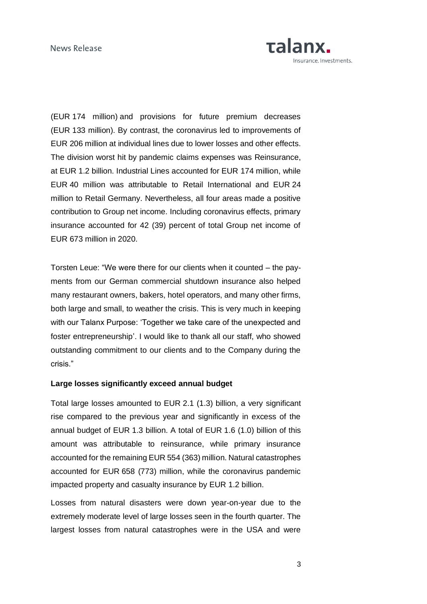

(EUR 174 million) and provisions for future premium decreases (EUR 133 million). By contrast, the coronavirus led to improvements of EUR 206 million at individual lines due to lower losses and other effects. The division worst hit by pandemic claims expenses was Reinsurance, at EUR 1.2 billion. Industrial Lines accounted for EUR 174 million, while EUR 40 million was attributable to Retail International and EUR 24 million to Retail Germany. Nevertheless, all four areas made a positive contribution to Group net income. Including coronavirus effects, primary insurance accounted for 42 (39) percent of total Group net income of EUR 673 million in 2020.

Torsten Leue: "We were there for our clients when it counted – the payments from our German commercial shutdown insurance also helped many restaurant owners, bakers, hotel operators, and many other firms, both large and small, to weather the crisis. This is very much in keeping with our Talanx Purpose: 'Together we take care of the unexpected and foster entrepreneurship'. I would like to thank all our staff, who showed outstanding commitment to our clients and to the Company during the crisis."

## **Large losses significantly exceed annual budget**

Total large losses amounted to EUR 2.1 (1.3) billion, a very significant rise compared to the previous year and significantly in excess of the annual budget of EUR 1.3 billion. A total of EUR 1.6 (1.0) billion of this amount was attributable to reinsurance, while primary insurance accounted for the remaining EUR 554 (363) million. Natural catastrophes accounted for EUR 658 (773) million, while the coronavirus pandemic impacted property and casualty insurance by EUR 1.2 billion.

Losses from natural disasters were down year-on-year due to the extremely moderate level of large losses seen in the fourth quarter. The largest losses from natural catastrophes were in the USA and were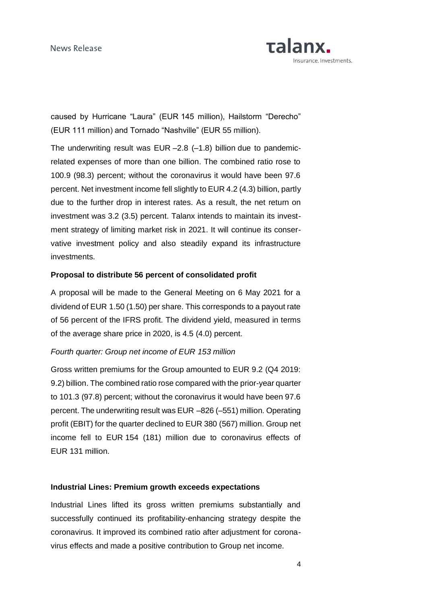

caused by Hurricane "Laura" (EUR 145 million), Hailstorm "Derecho" (EUR 111 million) and Tornado "Nashville" (EUR 55 million).

The underwriting result was  $EUR - 2.8$  (-1.8) billion due to pandemicrelated expenses of more than one billion. The combined ratio rose to 100.9 (98.3) percent; without the coronavirus it would have been 97.6 percent. Net investment income fell slightly to EUR 4.2 (4.3) billion, partly due to the further drop in interest rates. As a result, the net return on investment was 3.2 (3.5) percent. Talanx intends to maintain its investment strategy of limiting market risk in 2021. It will continue its conservative investment policy and also steadily expand its infrastructure investments.

## **Proposal to distribute 56 percent of consolidated profit**

A proposal will be made to the General Meeting on 6 May 2021 for a dividend of EUR 1.50 (1.50) per share. This corresponds to a payout rate of 56 percent of the IFRS profit. The dividend yield, measured in terms of the average share price in 2020, is 4.5 (4.0) percent.

## *Fourth quarter: Group net income of EUR 153 million*

Gross written premiums for the Group amounted to EUR 9.2 (Q4 2019: 9.2) billion. The combined ratio rose compared with the prior-year quarter to 101.3 (97.8) percent; without the coronavirus it would have been 97.6 percent. The underwriting result was EUR –826 (–551) million. Operating profit (EBIT) for the quarter declined to EUR 380 (567) million. Group net income fell to EUR 154 (181) million due to coronavirus effects of EUR 131 million.

## **Industrial Lines: Premium growth exceeds expectations**

Industrial Lines lifted its gross written premiums substantially and successfully continued its profitability-enhancing strategy despite the coronavirus. It improved its combined ratio after adjustment for coronavirus effects and made a positive contribution to Group net income.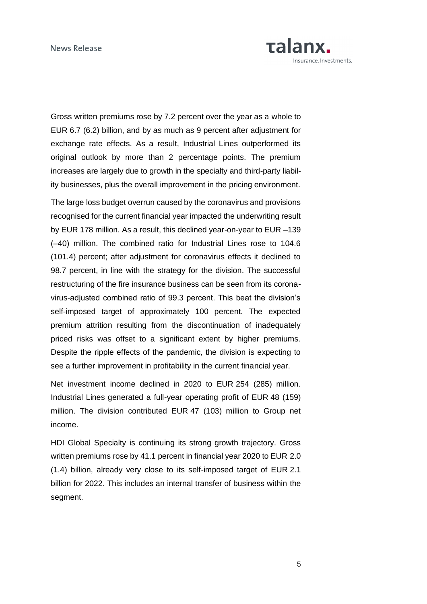

Gross written premiums rose by 7.2 percent over the year as a whole to EUR 6.7 (6.2) billion, and by as much as 9 percent after adjustment for exchange rate effects. As a result, Industrial Lines outperformed its original outlook by more than 2 percentage points. The premium increases are largely due to growth in the specialty and third-party liability businesses, plus the overall improvement in the pricing environment.

The large loss budget overrun caused by the coronavirus and provisions recognised for the current financial year impacted the underwriting result by EUR 178 million. As a result, this declined year-on-year to EUR –139 (–40) million. The combined ratio for Industrial Lines rose to 104.6 (101.4) percent; after adjustment for coronavirus effects it declined to 98.7 percent, in line with the strategy for the division. The successful restructuring of the fire insurance business can be seen from its coronavirus-adjusted combined ratio of 99.3 percent. This beat the division's self-imposed target of approximately 100 percent. The expected premium attrition resulting from the discontinuation of inadequately priced risks was offset to a significant extent by higher premiums. Despite the ripple effects of the pandemic, the division is expecting to see a further improvement in profitability in the current financial year.

Net investment income declined in 2020 to EUR 254 (285) million. Industrial Lines generated a full-year operating profit of EUR 48 (159) million. The division contributed EUR 47 (103) million to Group net income.

HDI Global Specialty is continuing its strong growth trajectory. Gross written premiums rose by 41.1 percent in financial year 2020 to EUR 2.0 (1.4) billion, already very close to its self-imposed target of EUR 2.1 billion for 2022. This includes an internal transfer of business within the segment.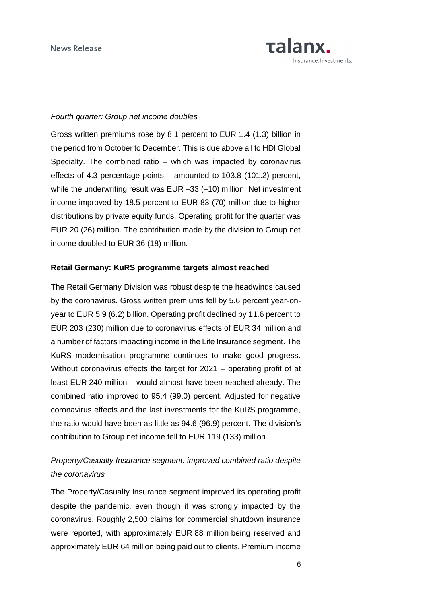

## *Fourth quarter: Group net income doubles*

Gross written premiums rose by 8.1 percent to EUR 1.4 (1.3) billion in the period from October to December. This is due above all to HDI Global Specialty. The combined ratio – which was impacted by coronavirus effects of 4.3 percentage points – amounted to 103.8 (101.2) percent, while the underwriting result was EUR –33 (–10) million. Net investment income improved by 18.5 percent to EUR 83 (70) million due to higher distributions by private equity funds. Operating profit for the quarter was EUR 20 (26) million. The contribution made by the division to Group net income doubled to EUR 36 (18) million.

### **Retail Germany: KuRS programme targets almost reached**

The Retail Germany Division was robust despite the headwinds caused by the coronavirus. Gross written premiums fell by 5.6 percent year-onyear to EUR 5.9 (6.2) billion. Operating profit declined by 11.6 percent to EUR 203 (230) million due to coronavirus effects of EUR 34 million and a number of factors impacting income in the Life Insurance segment. The KuRS modernisation programme continues to make good progress. Without coronavirus effects the target for 2021 – operating profit of at least EUR 240 million – would almost have been reached already. The combined ratio improved to 95.4 (99.0) percent. Adjusted for negative coronavirus effects and the last investments for the KuRS programme, the ratio would have been as little as 94.6 (96.9) percent. The division's contribution to Group net income fell to EUR 119 (133) million.

## *Property/Casualty Insurance segment: improved combined ratio despite the coronavirus*

The Property/Casualty Insurance segment improved its operating profit despite the pandemic, even though it was strongly impacted by the coronavirus. Roughly 2,500 claims for commercial shutdown insurance were reported, with approximately EUR 88 million being reserved and approximately EUR 64 million being paid out to clients. Premium income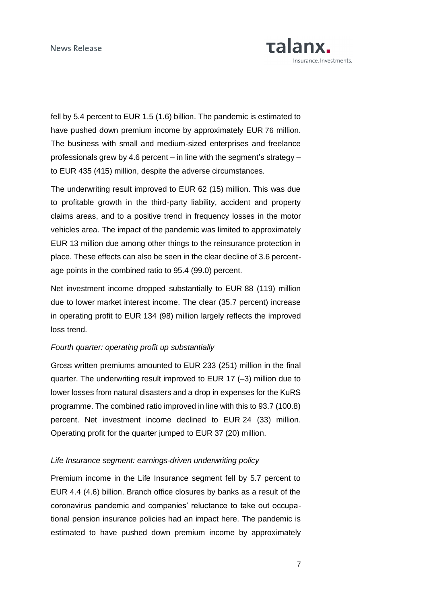

fell by 5.4 percent to EUR 1.5 (1.6) billion. The pandemic is estimated to have pushed down premium income by approximately EUR 76 million. The business with small and medium-sized enterprises and freelance professionals grew by 4.6 percent – in line with the segment's strategy – to EUR 435 (415) million, despite the adverse circumstances.

The underwriting result improved to EUR 62 (15) million. This was due to profitable growth in the third-party liability, accident and property claims areas, and to a positive trend in frequency losses in the motor vehicles area. The impact of the pandemic was limited to approximately EUR 13 million due among other things to the reinsurance protection in place. These effects can also be seen in the clear decline of 3.6 percentage points in the combined ratio to 95.4 (99.0) percent.

Net investment income dropped substantially to EUR 88 (119) million due to lower market interest income. The clear (35.7 percent) increase in operating profit to EUR 134 (98) million largely reflects the improved loss trend.

## *Fourth quarter: operating profit up substantially*

Gross written premiums amounted to EUR 233 (251) million in the final quarter. The underwriting result improved to EUR 17 (–3) million due to lower losses from natural disasters and a drop in expenses for the KuRS programme. The combined ratio improved in line with this to 93.7 (100.8) percent. Net investment income declined to EUR 24 (33) million. Operating profit for the quarter jumped to EUR 37 (20) million.

## *Life Insurance segment: earnings-driven underwriting policy*

Premium income in the Life Insurance segment fell by 5.7 percent to EUR 4.4 (4.6) billion. Branch office closures by banks as a result of the coronavirus pandemic and companies' reluctance to take out occupational pension insurance policies had an impact here. The pandemic is estimated to have pushed down premium income by approximately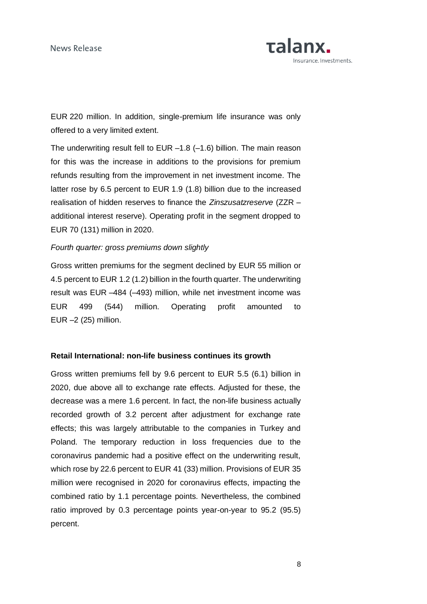

EUR 220 million. In addition, single-premium life insurance was only offered to a very limited extent.

The underwriting result fell to EUR –1.8 (–1.6) billion. The main reason for this was the increase in additions to the provisions for premium refunds resulting from the improvement in net investment income. The latter rose by 6.5 percent to EUR 1.9 (1.8) billion due to the increased realisation of hidden reserves to finance the *Zinszusatzreserve* (ZZR – additional interest reserve). Operating profit in the segment dropped to EUR 70 (131) million in 2020.

### *Fourth quarter: gross premiums down slightly*

Gross written premiums for the segment declined by EUR 55 million or 4.5 percent to EUR 1.2 (1.2) billion in the fourth quarter. The underwriting result was EUR –484 (–493) million, while net investment income was EUR 499 (544) million. Operating profit amounted to EUR –2 (25) million.

#### **Retail International: non-life business continues its growth**

Gross written premiums fell by 9.6 percent to EUR 5.5 (6.1) billion in 2020, due above all to exchange rate effects. Adjusted for these, the decrease was a mere 1.6 percent. In fact, the non-life business actually recorded growth of 3.2 percent after adjustment for exchange rate effects; this was largely attributable to the companies in Turkey and Poland. The temporary reduction in loss frequencies due to the coronavirus pandemic had a positive effect on the underwriting result, which rose by 22.6 percent to EUR 41 (33) million. Provisions of EUR 35 million were recognised in 2020 for coronavirus effects, impacting the combined ratio by 1.1 percentage points. Nevertheless, the combined ratio improved by 0.3 percentage points year-on-year to 95.2 (95.5) percent.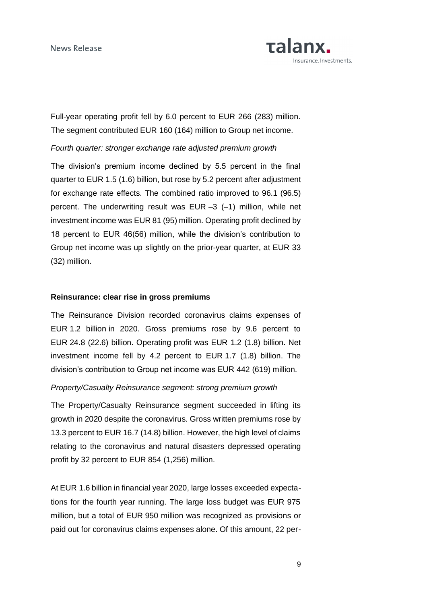

Full-year operating profit fell by 6.0 percent to EUR 266 (283) million. The segment contributed EUR 160 (164) million to Group net income.

## *Fourth quarter: stronger exchange rate adjusted premium growth*

The division's premium income declined by 5.5 percent in the final quarter to EUR 1.5 (1.6) billion, but rose by 5.2 percent after adjustment for exchange rate effects. The combined ratio improved to 96.1 (96.5) percent. The underwriting result was EUR –3 (–1) million, while net investment income was EUR 81 (95) million. Operating profit declined by 18 percent to EUR 46(56) million, while the division's contribution to Group net income was up slightly on the prior-year quarter, at EUR 33 (32) million.

### **Reinsurance: clear rise in gross premiums**

The Reinsurance Division recorded coronavirus claims expenses of EUR 1.2 billion in 2020. Gross premiums rose by 9.6 percent to EUR 24.8 (22.6) billion. Operating profit was EUR 1.2 (1.8) billion. Net investment income fell by 4.2 percent to EUR 1.7 (1.8) billion. The division's contribution to Group net income was EUR 442 (619) million.

## *Property/Casualty Reinsurance segment: strong premium growth*

The Property/Casualty Reinsurance segment succeeded in lifting its growth in 2020 despite the coronavirus. Gross written premiums rose by 13.3 percent to EUR 16.7 (14.8) billion. However, the high level of claims relating to the coronavirus and natural disasters depressed operating profit by 32 percent to EUR 854 (1,256) million.

At EUR 1.6 billion in financial year 2020, large losses exceeded expectations for the fourth year running. The large loss budget was EUR 975 million, but a total of EUR 950 million was recognized as provisions or paid out for coronavirus claims expenses alone. Of this amount, 22 per-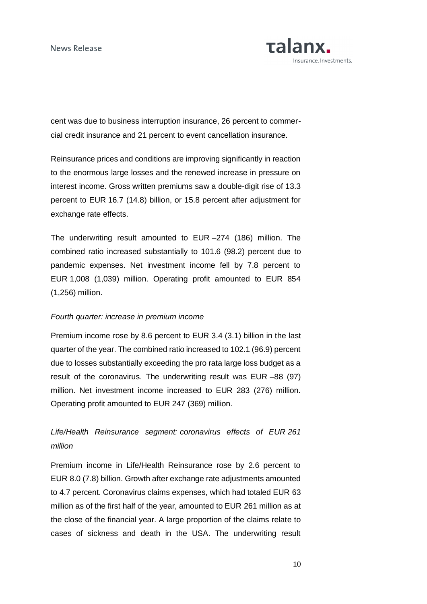

cent was due to business interruption insurance, 26 percent to commercial credit insurance and 21 percent to event cancellation insurance.

Reinsurance prices and conditions are improving significantly in reaction to the enormous large losses and the renewed increase in pressure on interest income. Gross written premiums saw a double-digit rise of 13.3 percent to EUR 16.7 (14.8) billion, or 15.8 percent after adjustment for exchange rate effects.

The underwriting result amounted to EUR –274 (186) million. The combined ratio increased substantially to 101.6 (98.2) percent due to pandemic expenses. Net investment income fell by 7.8 percent to EUR 1,008 (1,039) million. Operating profit amounted to EUR 854 (1,256) million.

## *Fourth quarter: increase in premium income*

Premium income rose by 8.6 percent to EUR 3.4 (3.1) billion in the last quarter of the year. The combined ratio increased to 102.1 (96.9) percent due to losses substantially exceeding the pro rata large loss budget as a result of the coronavirus. The underwriting result was EUR –88 (97) million. Net investment income increased to EUR 283 (276) million. Operating profit amounted to EUR 247 (369) million.

## *Life/Health Reinsurance segment: coronavirus effects of EUR 261 million*

Premium income in Life/Health Reinsurance rose by 2.6 percent to EUR 8.0 (7.8) billion. Growth after exchange rate adjustments amounted to 4.7 percent. Coronavirus claims expenses, which had totaled EUR 63 million as of the first half of the year, amounted to EUR 261 million as at the close of the financial year. A large proportion of the claims relate to cases of sickness and death in the USA. The underwriting result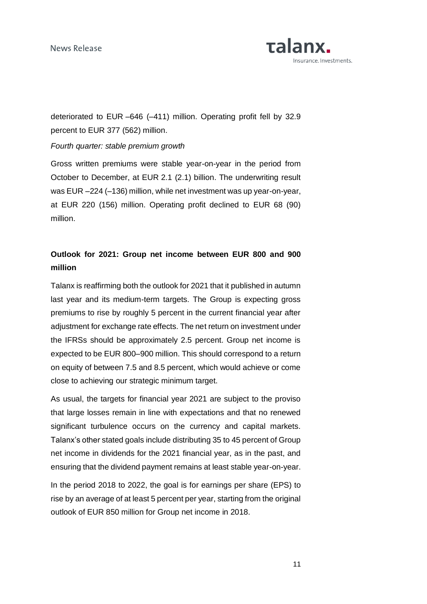News Release



deteriorated to EUR –646 (–411) million. Operating profit fell by 32.9 percent to EUR 377 (562) million.

## *Fourth quarter: stable premium growth*

Gross written premiums were stable year-on-year in the period from October to December, at EUR 2.1 (2.1) billion. The underwriting result was EUR –224 (–136) million, while net investment was up year-on-year, at EUR 220 (156) million. Operating profit declined to EUR 68 (90) million.

## **Outlook for 2021: Group net income between EUR 800 and 900 million**

Talanx is reaffirming both the outlook for 2021 that it published in autumn last year and its medium-term targets. The Group is expecting gross premiums to rise by roughly 5 percent in the current financial year after adjustment for exchange rate effects. The net return on investment under the IFRSs should be approximately 2.5 percent. Group net income is expected to be EUR 800–900 million. This should correspond to a return on equity of between 7.5 and 8.5 percent, which would achieve or come close to achieving our strategic minimum target.

As usual, the targets for financial year 2021 are subject to the proviso that large losses remain in line with expectations and that no renewed significant turbulence occurs on the currency and capital markets. Talanx's other stated goals include distributing 35 to 45 percent of Group net income in dividends for the 2021 financial year, as in the past, and ensuring that the dividend payment remains at least stable year-on-year.

In the period 2018 to 2022, the goal is for earnings per share (EPS) to rise by an average of at least 5 percent per year, starting from the original outlook of EUR 850 million for Group net income in 2018.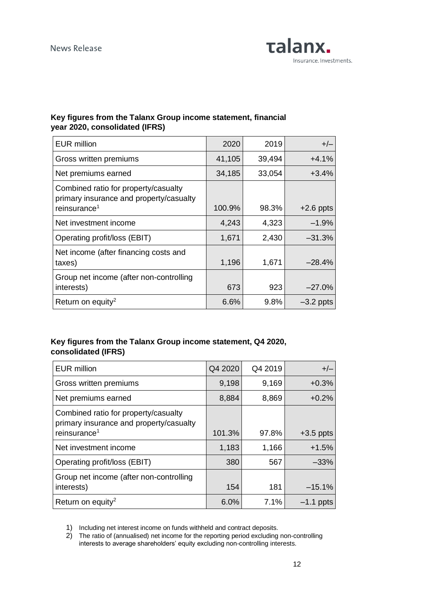

## **Key figures from the Talanx Group income statement, financial year 2020, consolidated (IFRS)**

| <b>EUR million</b>                                                                                          | 2020   | 2019   | $+/-$       |
|-------------------------------------------------------------------------------------------------------------|--------|--------|-------------|
| Gross written premiums                                                                                      | 41,105 | 39,494 | $+4.1%$     |
| Net premiums earned                                                                                         | 34,185 | 33,054 | $+3.4%$     |
| Combined ratio for property/casualty<br>primary insurance and property/casualty<br>reinsurance <sup>1</sup> | 100.9% | 98.3%  | $+2.6$ ppts |
| Net investment income                                                                                       | 4,243  | 4,323  | $-1.9%$     |
| Operating profit/loss (EBIT)                                                                                | 1,671  | 2,430  | $-31.3%$    |
| Net income (after financing costs and<br>taxes)                                                             | 1,196  | 1,671  | $-28.4%$    |
| Group net income (after non-controlling<br>interests)                                                       | 673    | 923    | $-27.0%$    |
| Return on equity <sup>2</sup>                                                                               | 6.6%   | 9.8%   | $-3.2$ ppts |

## **Key figures from the Talanx Group income statement, Q4 2020, consolidated (IFRS)**

| <b>EUR million</b>                                                                                          | Q4 2020 | Q4 2019 | $+/-$       |
|-------------------------------------------------------------------------------------------------------------|---------|---------|-------------|
| Gross written premiums                                                                                      | 9,198   | 9,169   | $+0.3%$     |
| Net premiums earned                                                                                         | 8,884   | 8,869   | $+0.2%$     |
| Combined ratio for property/casualty<br>primary insurance and property/casualty<br>reinsurance <sup>1</sup> | 101.3%  | 97.8%   | $+3.5$ ppts |
| Net investment income                                                                                       | 1,183   | 1,166   | $+1.5%$     |
| Operating profit/loss (EBIT)                                                                                | 380     | 567     | $-33%$      |
| Group net income (after non-controlling<br>interests)                                                       | 154     | 181     | $-15.1%$    |
| Return on equity <sup>2</sup>                                                                               | 6.0%    | 7.1%    | $-1.1$ ppts |

1) Including net interest income on funds withheld and contract deposits.

2) The ratio of (annualised) net income for the reporting period excluding non-controlling interests to average shareholders' equity excluding non-controlling interests.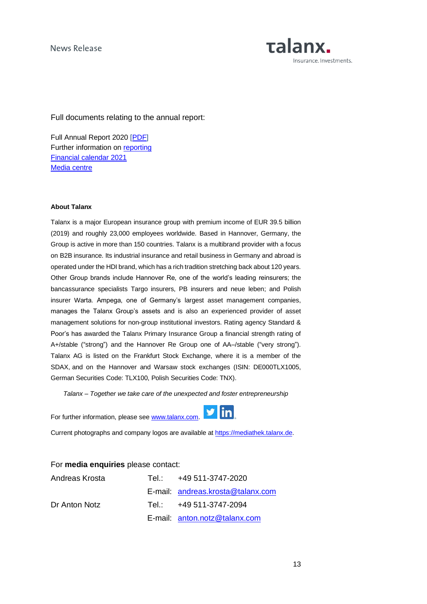

Full documents relating to the annual report:

Full Annual Report 2020 [\[PDF\]](https://www.talanx.com/media/Files/investor-relations/pdf/geschaeftsberichte/Gesch%C3%A4ftsberichte/Talanx-Konzern/2020-talanx-group-annual-report-english.pdf) Further information on [reporting](https://www.talanx.com/media/Files/investor-relations/pdf/ergebnisse/2020/FY/2020-fy-press-presentation-talanx.pdf) [Financial calendar 2021](https://www.talanx.com/de/investor_relations/hauptversammlung_-_events/finanzkalender?year=2021) [Media centre](https://mediathek.talanx.de/)

#### **About Talanx**

Talanx is a major European insurance group with premium income of EUR 39.5 billion (2019) and roughly 23,000 employees worldwide. Based in Hannover, Germany, the Group is active in more than 150 countries. Talanx is a multibrand provider with a focus on B2B insurance. Its industrial insurance and retail business in Germany and abroad is operated under the HDI brand, which has a rich tradition stretching back about 120 years. Other Group brands include Hannover Re, one of the world's leading reinsurers; the bancassurance specialists Targo insurers, PB insurers and neue leben; and Polish insurer Warta. Ampega, one of Germany's largest asset management companies, manages the Talanx Group's assets and is also an experienced provider of asset management solutions for non-group institutional investors. Rating agency Standard & Poor's has awarded the Talanx Primary Insurance Group a financial strength rating of A+/stable ("strong") and the Hannover Re Group one of AA–/stable ("very strong"). Talanx AG is listed on the Frankfurt Stock Exchange, where it is a member of the SDAX, and on the Hannover and Warsaw stock exchanges (ISIN: DE000TLX1005, German Securities Code: TLX100, Polish Securities Code: TNX).

*Talanx – Together we take care of the unexpected and foster entrepreneurship*

For further information, please see [www.talanx.com.](http://www.talanx.com/) 



Current photographs and company logos are available at [https://mediathek.talanx.de.](https://mediathek.talanx.de/)

| For media enquiries please contact: |  |
|-------------------------------------|--|
|-------------------------------------|--|

| Andreas Krosta | Tel.: $+49.511 - 3747 - 2020$     |
|----------------|-----------------------------------|
|                | E-mail: andreas.krosta@talanx.com |
| Dr Anton Notz  | Tel.: +49 511-3747-2094           |
|                | E-mail: anton.notz@talanx.com     |